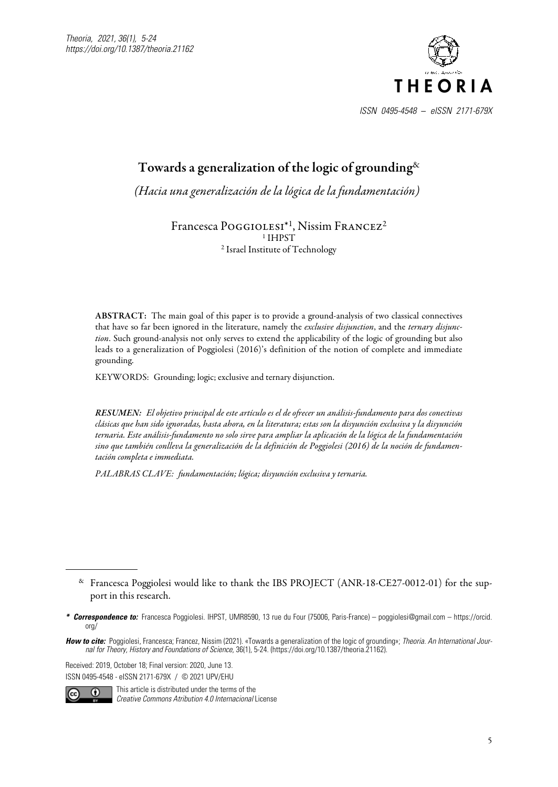

# Towards a generalization of the logic of grounding  $\&$

*(Hacia una generalización de la lógica de la fundamentación)*<sup>1</sup>

Francesca POGGIOLESI<sup>\*1</sup>, Nissim FRANCEZ<sup>2</sup> <sup>1</sup> IHPST 2 Israel Institute of Technology

ABSTRACT: The main goal of this paper is to provide a ground-analysis of two classical connectives that have so far been ignored in the literature, namely the *exclusive disjunction*, and the *ternary disjunction*. Such ground-analysis not only serves to extend the applicability of the logic of grounding but also leads to a generalization of Poggiolesi (2016)'s definition of the notion of complete and immediate grounding.

KEYWORDS: Grounding; logic; exclusive and ternary disjunction.

*RESUMEN: El objetivo principal de este artículo es el de ofrecer un análisis-fundamento para dos conectivas clásicas que han sido ignoradas, hasta ahora, en la literatura; estas son la disyunción exclusiva y la disyunción ternaria. Este análisis-fundamento no solo sirve para ampliar la aplicación de la lógica de la fundamentación sino que también conlleva la generalización de la definición de Poggiolesi (2016) de la noción de fundamentación completa e immediata.*

*PALABRAS CLAVE: fundamentación; lógica; disyunción exclusiva y ternaria.*

Received: 2019, October 18; Final version: 2020, June 13. ISSN 0495-4548 - eISSN 2171-679X / © 2021 UPV/EHU



This article is distributed under the terms of the *Creative Commons Atribution 4.0 Internacional* License

<sup>&</sup>amp; Francesca Poggiolesi would like to thank the IBS PROJECT (ANR-18-CE27-0012-01) for the support in this research.

*<sup>\*</sup> Correspondence to:* Francesca Poggiolesi. IHPST, UMR8590, 13 rue du Four (75006, Paris-France) – poggiolesi@gmail.com – https://orcid.  $0<sub>0</sub>$ 

*How to cite:* Poggiolesi, Francesca; Francez, Nissim (2021). «Towards a generalization of the logic of grounding»; *Theoria. An International Journal for Theory, History and Foundations of Science,* 36(1), 5-24. (https://doi.org/10.1387/theoria.21162).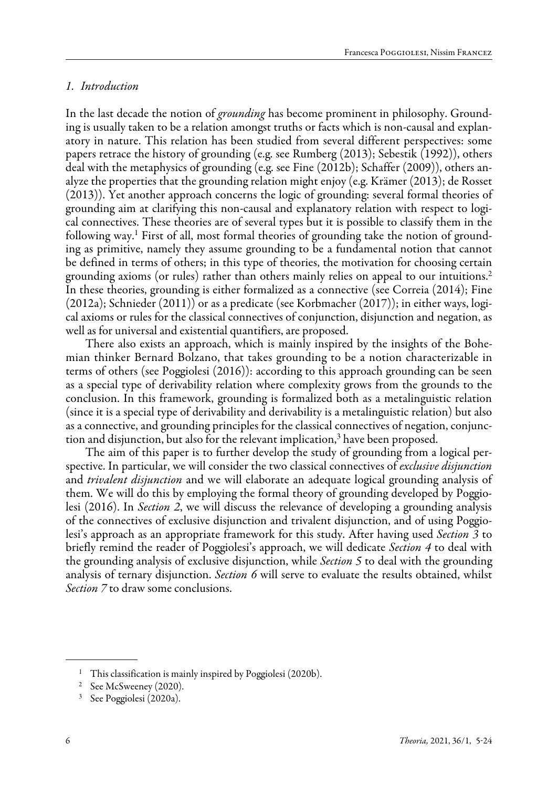## *1. Introduction*

In the last decade the notion of *grounding* has become prominent in philosophy. Grounding is usually taken to be a relation amongst truths or facts which is non-causal and explanatory in nature. This relation has been studied from several different perspectives: some papers retrace the history of grounding (e.g. see Rumberg (2013); Sebestik (1992)), others deal with the metaphysics of grounding (e.g. see Fine (2012b); Schaffer (2009)), others analyze the properties that the grounding relation might enjoy (e.g. Krämer (2013); de Rosset (2013)). Yet another approach concerns the logic of grounding: several formal theories of grounding aim at clarifying this non-causal and explanatory relation with respect to logical connectives. These theories are of several types but it is possible to classify them in the following way.<sup>1</sup> First of all, most formal theories of grounding take the notion of grounding as primitive, namely they assume grounding to be a fundamental notion that cannot be defined in terms of others; in this type of theories, the motivation for choosing certain grounding axioms (or rules) rather than others mainly relies on appeal to our intuitions.2 In these theories, grounding is either formalized as a connective (see Correia (2014); Fine (2012a); Schnieder (2011)) or as a predicate (see Korbmacher (2017)); in either ways, logical axioms or rules for the classical connectives of conjunction, disjunction and negation, as well as for universal and existential quantifiers, are proposed.

There also exists an approach, which is mainly inspired by the insights of the Bohemian thinker Bernard Bolzano, that takes grounding to be a notion characterizable in terms of others (see Poggiolesi (2016)): according to this approach grounding can be seen as a special type of derivability relation where complexity grows from the grounds to the conclusion. In this framework, grounding is formalized both as a metalinguistic relation (since it is a special type of derivability and derivability is a metalinguistic relation) but also as a connective, and grounding principles for the classical connectives of negation, conjunction and disjunction, but also for the relevant implication,<sup>3</sup> have been proposed.

The aim of this paper is to further develop the study of grounding from a logical perspective. In particular, we will consider the two classical connectives of *exclusive disjunction*  and *trivalent disjunction* and we will elaborate an adequate logical grounding analysis of them. We will do this by employing the formal theory of grounding developed by Poggiolesi (2016). In *Section 2*, we will discuss the relevance of developing a grounding analysis of the connectives of exclusive disjunction and trivalent disjunction, and of using Poggiolesi's approach as an appropriate framework for this study. After having used *Section 3* to briefly remind the reader of Poggiolesi's approach, we will dedicate *Section 4* to deal with the grounding analysis of exclusive disjunction, while *Section 5* to deal with the grounding analysis of ternary disjunction. *Section 6* will serve to evaluate the results obtained, whilst *Section 7* to draw some conclusions.

<sup>&</sup>lt;sup>1</sup> This classification is mainly inspired by Poggiolesi (2020b).

<sup>&</sup>lt;sup>2</sup> See McSweeney (2020).

<sup>3</sup> See Poggiolesi (2020a).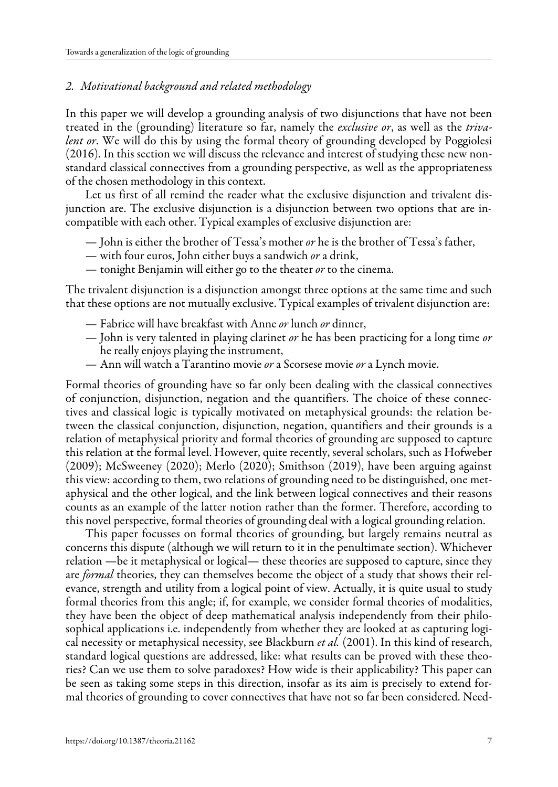### *2. Motivational background and related methodology*

In this paper we will develop a grounding analysis of two disjunctions that have not been treated in the (grounding) literature so far, namely the *exclusive or*, as well as the *trivalent or*. We will do this by using the formal theory of grounding developed by Poggiolesi (2016). In this section we will discuss the relevance and interest of studying these new nonstandard classical connectives from a grounding perspective, as well as the appropriateness of the chosen methodology in this context.

Let us first of all remind the reader what the exclusive disjunction and trivalent disjunction are. The exclusive disjunction is a disjunction between two options that are incompatible with each other. Typical examples of exclusive disjunction are:

- John is either the brother of Tessa's mother *or* he is the brother of Tessa's father,
- with four euros, John either buys a sandwich *or* a drink,
- tonight Benjamin will either go to the theater *or* to the cinema.

The trivalent disjunction is a disjunction amongst three options at the same time and such that these options are not mutually exclusive. Typical examples of trivalent disjunction are:

- Fabrice will have breakfast with Anne *or* lunch *or* dinner,
- John is very talented in playing clarinet *or* he has been practicing for a long time *or*  he really enjoys playing the instrument,
- Ann will watch a Tarantino movie *or* a Scorsese movie *or* a Lynch movie.

Formal theories of grounding have so far only been dealing with the classical connectives of conjunction, disjunction, negation and the quantifiers. The choice of these connectives and classical logic is typically motivated on metaphysical grounds: the relation between the classical conjunction, disjunction, negation, quantifiers and their grounds is a relation of metaphysical priority and formal theories of grounding are supposed to capture this relation at the formal level. However, quite recently, several scholars, such as Hofweber (2009); McSweeney (2020); Merlo (2020); Smithson (2019), have been arguing against this view: according to them, two relations of grounding need to be distinguished, one metaphysical and the other logical, and the link between logical connectives and their reasons counts as an example of the latter notion rather than the former. Therefore, according to this novel perspective, formal theories of grounding deal with a logical grounding relation.

This paper focusses on formal theories of grounding, but largely remains neutral as concerns this dispute (although we will return to it in the penultimate section). Whichever relation —be it metaphysical or logical— these theories are supposed to capture, since they are *formal* theories, they can themselves become the object of a study that shows their relevance, strength and utility from a logical point of view. Actually, it is quite usual to study formal theories from this angle; if, for example, we consider formal theories of modalities, they have been the object of deep mathematical analysis independently from their philosophical applications i.e. independently from whether they are looked at as capturing logical necessity or metaphysical necessity, see Blackburn *et al.* (2001). In this kind of research, standard logical questions are addressed, like: what results can be proved with these theories? Can we use them to solve paradoxes? How wide is their applicability? This paper can be seen as taking some steps in this direction, insofar as its aim is precisely to extend formal theories of grounding to cover connectives that have not so far been considered. Need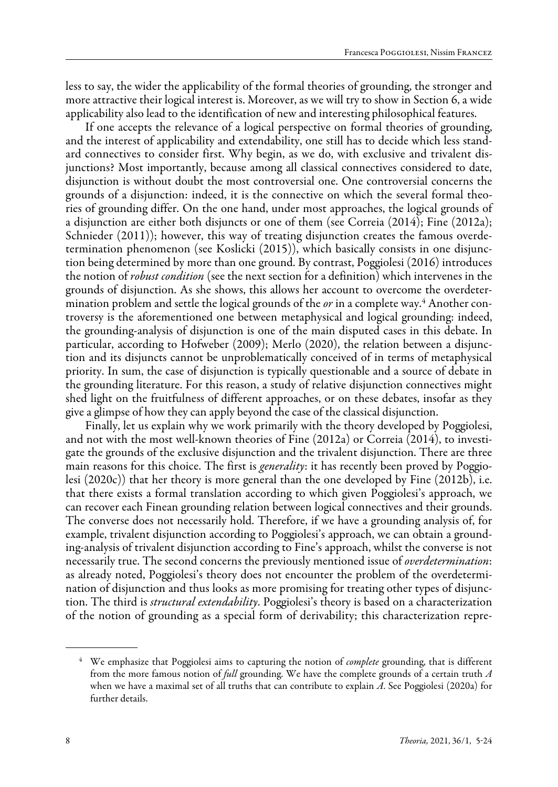less to say, the wider the applicability of the formal theories of grounding, the stronger and more attractive their logical interest is. Moreover, as we will try to show in Section 6, a wide applicability also lead to the identification of new and interesting philosophical features.

If one accepts the relevance of a logical perspective on formal theories of grounding, and the interest of applicability and extendability, one still has to decide which less standard connectives to consider first. Why begin, as we do, with exclusive and trivalent disjunctions? Most importantly, because among all classical connectives considered to date, disjunction is without doubt the most controversial one. One controversial concerns the grounds of a disjunction: indeed, it is the connective on which the several formal theories of grounding differ. On the one hand, under most approaches, the logical grounds of a disjunction are either both disjuncts or one of them (see Correia (2014); Fine (2012a); Schnieder (2011)); however, this way of treating disjunction creates the famous overdetermination phenomenon (see Koslicki (2015)), which basically consists in one disjunction being determined by more than one ground. By contrast, Poggiolesi (2016) introduces the notion of *robust condition* (see the next section for a definition) which intervenes in the grounds of disjunction. As she shows, this allows her account to overcome the overdetermination problem and settle the logical grounds of the *or* in a complete way.4 Another controversy is the aforementioned one between metaphysical and logical grounding: indeed, the grounding-analysis of disjunction is one of the main disputed cases in this debate. In particular, according to Hofweber (2009); Merlo (2020), the relation between a disjunction and its disjuncts cannot be unproblematically conceived of in terms of metaphysical priority. In sum, the case of disjunction is typically questionable and a source of debate in the grounding literature. For this reason, a study of relative disjunction connectives might shed light on the fruitfulness of different approaches, or on these debates, insofar as they give a glimpse of how they can apply beyond the case of the classical disjunction.

Finally, let us explain why we work primarily with the theory developed by Poggiolesi, and not with the most well-known theories of Fine (2012a) or Correia (2014), to investigate the grounds of the exclusive disjunction and the trivalent disjunction. There are three main reasons for this choice. The first is *generality*: it has recently been proved by Poggiolesi (2020c)) that her theory is more general than the one developed by Fine (2012b), i.e. that there exists a formal translation according to which given Poggiolesi's approach, we can recover each Finean grounding relation between logical connectives and their grounds. The converse does not necessarily hold. Therefore, if we have a grounding analysis of, for example, trivalent disjunction according to Poggiolesi's approach, we can obtain a grounding-analysis of trivalent disjunction according to Fine's approach, whilst the converse is not necessarily true. The second concerns the previously mentioned issue of *overdetermination*: as already noted, Poggiolesi's theory does not encounter the problem of the overdetermination of disjunction and thus looks as more promising for treating other types of disjunction. The third is *structural extendability*. Poggiolesi's theory is based on a characterization of the notion of grounding as a special form of derivability; this characterization repre-

<sup>4</sup> We emphasize that Poggiolesi aims to capturing the notion of *complete* grounding, that is different from the more famous notion of *full* grounding. We have the complete grounds of a certain truth *A*  when we have a maximal set of all truths that can contribute to explain *A*. See Poggiolesi (2020a) for further details.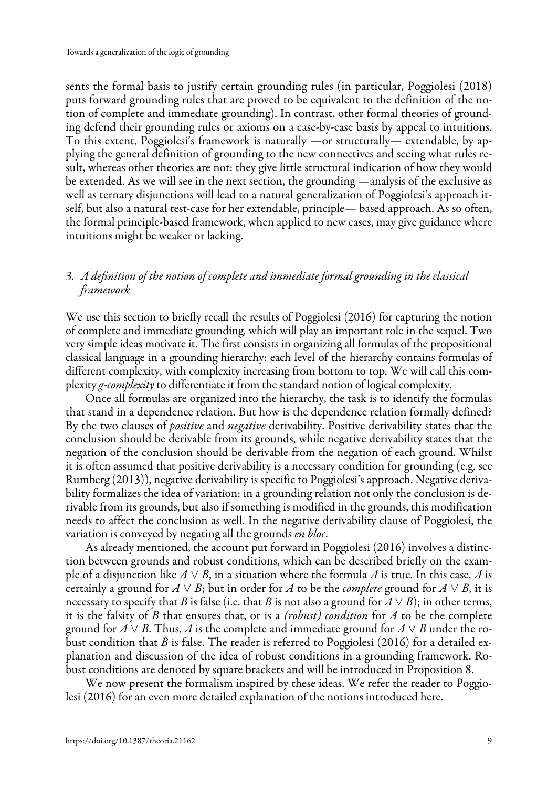sents the formal basis to justify certain grounding rules (in particular, Poggiolesi (2018) puts forward grounding rules that are proved to be equivalent to the definition of the notion of complete and immediate grounding). In contrast, other formal theories of grounding defend their grounding rules or axioms on a case-by-case basis by appeal to intuitions. To this extent, Poggiolesi's framework is naturally —or structurally— extendable, by applying the general definition of grounding to the new connectives and seeing what rules result, whereas other theories are not: they give little structural indication of how they would be extended. As we will see in the next section, the grounding —analysis of the exclusive as well as ternary disjunctions will lead to a natural generalization of Poggiolesi's approach itself, but also a natural test-case for her extendable, principle— based approach. As so often, the formal principle-based framework, when applied to new cases, may give guidance where intuitions might be weaker or lacking.

## *3. A definition of the notion of complete and immediate formal grounding in the classical framework*

We use this section to briefly recall the results of Poggiolesi (2016) for capturing the notion of complete and immediate grounding, which will play an important role in the sequel. Two very simple ideas motivate it. The first consists in organizing all formulas of the propositional classical language in a grounding hierarchy: each level of the hierarchy contains formulas of different complexity, with complexity increasing from bottom to top. We will call this complexity *g-complexity* to differentiate it from the standard notion of logical complexity.

Once all formulas are organized into the hierarchy, the task is to identify the formulas that stand in a dependence relation. But how is the dependence relation formally defined? By the two clauses of *positive* and *negative* derivability. Positive derivability states that the conclusion should be derivable from its grounds, while negative derivability states that the negation of the conclusion should be derivable from the negation of each ground. Whilst it is often assumed that positive derivability is a necessary condition for grounding (e.g. see Rumberg (2013)), negative derivability is specific to Poggiolesi's approach. Negative derivability formalizes the idea of variation: in a grounding relation not only the conclusion is derivable from its grounds, but also if something is modified in the grounds, this modification needs to affect the conclusion as well. In the negative derivability clause of Poggiolesi, the variation is conveyed by negating all the grounds *en bloc*.

As already mentioned, the account put forward in Poggiolesi (2016) involves a distinction between grounds and robust conditions, which can be described briefly on the example of a disjunction like *A* ∨ *B*, in a situation where the formula *A* is true. In this case, *A* is certainly a ground for  $A \vee B$ ; but in order for *A* to be the *complete* ground for  $A \vee B$ , it is necessary to specify that *B* is false (i.e. that *B* is not also a ground for  $A \vee B$ ); in other terms, it is the falsity of *B* that ensures that, or is a *(robust) condition* for *A* to be the complete ground for  $A \vee B$ . Thus,  $A$  is the complete and immediate ground for  $A \vee B$  under the robust condition that *B* is false. The reader is referred to Poggiolesi (2016) for a detailed explanation and discussion of the idea of robust conditions in a grounding framework. Robust conditions are denoted by square brackets and will be introduced in Proposition 8.

We now present the formalism inspired by these ideas. We refer the reader to Poggiolesi (2016) for an even more detailed explanation of the notions introduced here.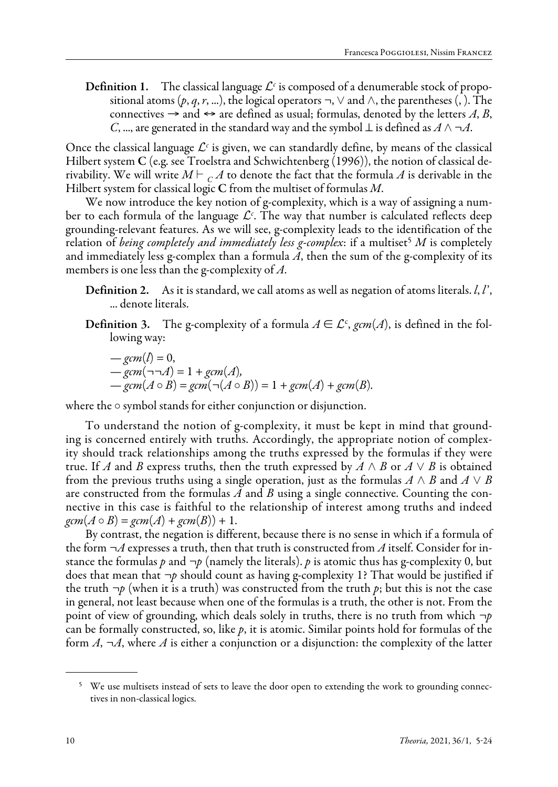**Definition 1.** The classical language  $\mathcal{L}^c$  is composed of a denumerable stock of propositional atoms (*p*, *q*, *r*, ...), the logical operators  $\neg$ ,  $\vee$  and  $\wedge$ , the parentheses (, ). The connectives  $\rightarrow$  and  $\leftrightarrow$  are defined as usual; formulas, denoted by the letters A, B, *C*, ..., are generated in the standard way and the symbol  $\perp$  is defined as  $A \wedge \neg A$ .

Once the classical language  $\mathcal{L}^c$  is given, we can standardly define, by means of the classical Hilbert system C (e.g. see Troelstra and Schwichtenberg (1996)), the notion of classical derivability. We will write  $M \vdash C A$  to denote the fact that the formula A is derivable in the Hilbert system for classical logic C from the multiset of formulas *M*.

We now introduce the key notion of g-complexity, which is a way of assigning a number to each formula of the language  $\mathcal{L}^c.$  The way that number is calculated reflects deep grounding-relevant features. As we will see, g-complexity leads to the identification of the relation of *being completely and immediately less g-complex*: if a multiset<sup>5</sup> M is completely and immediately less g-complex than a formula  $\tilde{A}$ , then the sum of the g-complexity of its members is one less than the g-complexity of *A*.

- Definition 2. As it is standard, we call atoms as well as negation of atoms literals. *l*, *l*', ... denote literals.
- **Definition 3.** The g-complexity of a formula  $A \in \mathcal{L}^c$ , gcm(A), is defined in the following way:

$$
-gcm(l) = 0,
$$
  

$$
-gcm(\neg\neg A) = 1 + gcm(A),
$$
  

$$
-gcm(A \circ B) = gcm(\neg(A \circ B)) = 1 + gcm(A) + gcm(B).
$$

where the  $\circ$  symbol stands for either conjunction or disjunction.

To understand the notion of g-complexity, it must be kept in mind that grounding is concerned entirely with truths. Accordingly, the appropriate notion of complexity should track relationships among the truths expressed by the formulas if they were true. If *A* and *B* express truths, then the truth expressed by  $A \wedge B$  or  $A \vee B$  is obtained from the previous truths using a single operation, just as the formulas  $A \wedge B$  and  $A \vee B$ are constructed from the formulas *A* and *B* using a single connective. Counting the connective in this case is faithful to the relationship of interest among truths and indeed  $gcm(A \circ B) = gcm(A) + gcm(B) + 1.$ 

By contrast, the negation is different, because there is no sense in which if a formula of the form *¬A* expresses a truth, then that truth is constructed from *A* itself. Consider for instance the formulas  $p$  and  $\neg p$  (namely the literals).  $p$  is atomic thus has g-complexity 0, but does that mean that *¬p* should count as having g-complexity 1? That would be justified if the truth  $\neg p$  (when it is a truth) was constructed from the truth  $p$ ; but this is not the case in general, not least because when one of the formulas is a truth, the other is not. From the point of view of grounding, which deals solely in truths, there is no truth from which *¬p*  can be formally constructed, so, like *p*, it is atomic. Similar points hold for formulas of the form  $A$ ,  $\neg A$ , where  $\overline{A}$  is either a conjunction or a disjunction: the complexity of the latter

<sup>&</sup>lt;sup>5</sup> We use multisets instead of sets to leave the door open to extending the work to grounding connectives in non-classical logics.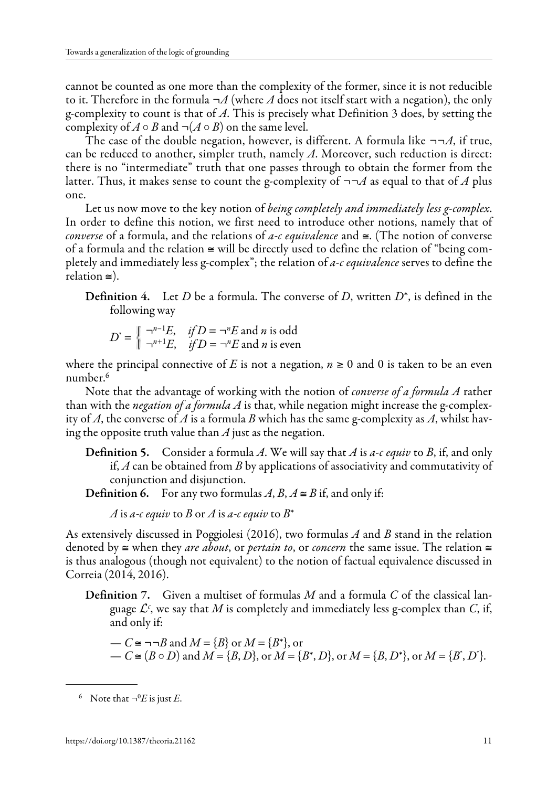cannot be counted as one more than the complexity of the former, since it is not reducible to it. Therefore in the formula  $\neg A$  (where A does not itself start with a negation), the only g-complexity to count is that of *A*. This is precisely what Definition 3 does, by setting the complexity of  $A \circ B$  and  $\neg(A \circ B)$  on the same level.

The case of the double negation, however, is different. A formula like *¬¬A*, if true, can be reduced to another, simpler truth, namely *A*. Moreover, such reduction is direct: there is no "intermediate" truth that one passes through to obtain the former from the latter. Thus, it makes sense to count the g-complexity of  $\neg\neg A$  as equal to that of A plus one.

Let us now move to the key notion of *being completely and immediately less g-complex*. In order to define this notion, we first need to introduce other notions, namely that of *converse* of a formula, and the relations of *a-c equivalence* and ≅. (The notion of converse of a formula and the relation  $\cong$  will be directly used to define the relation of "being completely and immediately less g-complex"; the relation of *a-c equivalence* serves to define the relation ≅).

Definition 4. Let *D* be a formula. The converse of *D*, written *D*\*, is defined in the following way

$$
D^* = \begin{cases} \neg^{n-1}E, & \text{if } D = \neg^n E \text{ and } n \text{ is odd} \\ \neg^{n+1}E, & \text{if } D = \neg^n E \text{ and } n \text{ is even} \end{cases}
$$

where the principal connective of *E* is not a negation,  $n \ge 0$  and 0 is taken to be an even number.6

Note that the advantage of working with the notion of *converse of a formula A* rather than with the *negation of a formula A* is that, while negation might increase the g-complexity of *A*, the converse of *A* is a formula *B* which has the same g-complexity as *A*, whilst having the opposite truth value than *A* just as the negation.

Definition 5. Consider a formula *A*. We will say that *A* is *a-c equiv* to *B*, if, and only if, *A* can be obtained from *B* by applications of associativity and commutativity of conjunction and disjunction.

**Definition 6.** For any two formulas  $A, B, A \cong B$  if, and only if:

*A* is *a-c equiv* to *B* or *A* is *a-c equiv* to  $B^*$ 

As extensively discussed in Poggiolesi (2016), two formulas *A* and *B* stand in the relation denoted by ≅ when they *are about*, or *pertain to*, or *concern* the same issue. The relation ≅ is thus analogous (though not equivalent) to the notion of factual equivalence discussed in Correia (2014, 2016).

Definition 7. Given a multiset of formulas *M* and a formula *C* of the classical language  $\mathcal{L}^c$ , we say that  $M$  is completely and immediately less g-complex than  $C$ , if, and only if:

 $-C$  ≅ ¬¬*B* and  $M = {B}$  or  $M = {B^*}$ , or  $-C \cong (B \circ D)$  and  $M = \{B, D\}$ , or  $M = \{B^*, D\}$ , or  $M = \{B, D^*\}$ , or  $M = \{B^*, D^*\}$ .

<sup>&</sup>lt;sup>6</sup> Note that  $\neg$ <sup>0</sup>*E* is just *E*.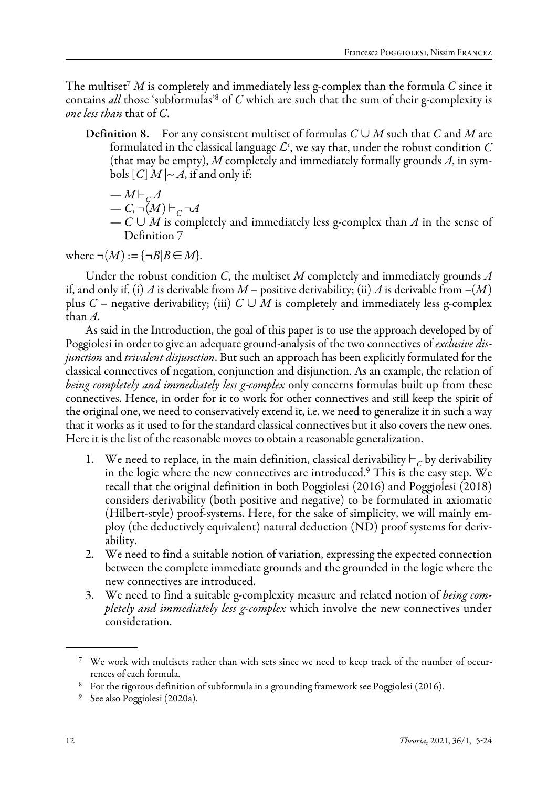The multiset<sup>7</sup>  $M$  is completely and immediately less g-complex than the formula  $C$  since it contains *all* those 'subformulas'8 of *C* which are such that the sum of their g-complexity is *one less than* that of *C*.

**Definition 8.** For any consistent multiset of formulas  $C \cup M$  such that  $C$  and  $M$  are formulated in the classical language  $\mathcal{L}^{\mathit{c}}$ , we say that, under the robust condition  $C$ (that may be empty), *M* completely and immediately formally grounds *A*, in symbols  $[C]$  *M*  $|∼ A$ , if and only if:

$$
-M \vdash_{\mathcal{C}} A
$$

$$
-C, \neg(M) \vdash_{C} \neg A
$$

— *C* ∪ *M* is completely and immediately less g-complex than *A* in the sense of Definition 7

where  $\neg(M) := {\neg B|B \in M}$ .

Under the robust condition *C*, the multiset *M* completely and immediately grounds *A*  if, and only if, (i) *A* is derivable from  $M$  – positive derivability; (ii)  $A$  is derivable from  $-(M)$ plus *C* – negative derivability; (iii)  $C \cup M$  is completely and immediately less g-complex than *A*.

As said in the Introduction, the goal of this paper is to use the approach developed by of Poggiolesi in order to give an adequate ground-analysis of the two connectives of *exclusive disjunction* and *trivalent disjunction*. But such an approach has been explicitly formulated for the classical connectives of negation, conjunction and disjunction. As an example, the relation of *being completely and immediately less g-complex* only concerns formulas built up from these connectives. Hence, in order for it to work for other connectives and still keep the spirit of the original one, we need to conservatively extend it, i.e. we need to generalize it in such a way that it works as it used to for the standard classical connectives but it also covers the new ones. Here it is the list of the reasonable moves to obtain a reasonable generalization.

- We need to replace, in the main definition, classical derivability  $\vdash_C$  by derivability in the logic where the new connectives are introduced.<sup>9</sup> This is the easy step. We recall that the original definition in both Poggiolesi (2016) and Poggiolesi (2018) considers derivability (both positive and negative) to be formulated in axiomatic (Hilbert-style) proof-systems. Here, for the sake of simplicity, we will mainly employ (the deductively equivalent) natural deduction (ND) proof systems for derivability.
- 2. We need to find a suitable notion of variation, expressing the expected connection between the complete immediate grounds and the grounded in the logic where the new connectives are introduced.
- 3. We need to find a suitable g-complexity measure and related notion of *being completely and immediately less g-complex* which involve the new connectives under consideration.

<sup>7</sup> We work with multisets rather than with sets since we need to keep track of the number of occurrences of each formula.

<sup>8</sup> For the rigorous definition of subformula in a grounding framework see Poggiolesi (2016).

<sup>9</sup> See also Poggiolesi (2020a).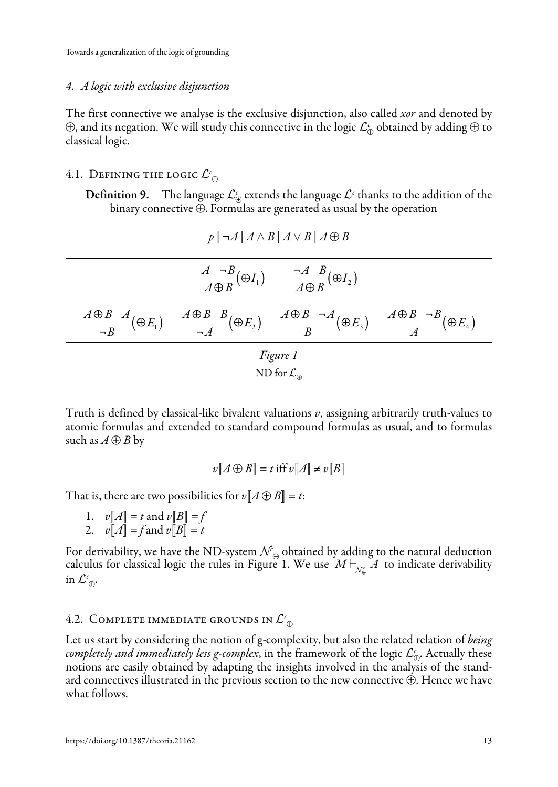#### *4. A logic with exclusive disjunction*

The first connective we analyse is the exclusive disjunction, also called *xor* and denoted by ⊕, and its negation. We will study this connective in the logic *<sup>c</sup>* <sup>⊕</sup> obtained by adding ⊕ to classical logic.

# 4.1. Defining the logic  $\mathcal{L}_{\oplus}^{\mathfrak{c}}$

**Definition 9.** The language  $\mathcal{L}_{\oplus}^c$  extends the language  $\mathcal{L}^c$  thanks to the addition of the binary connective ⊕. Formulas are generated as usual by the operation

$$
p \mid \neg A \mid A \land B \mid A \lor B \mid A \oplus B
$$

$$
\frac{A \to B}{A \oplus B}(\oplus I_1) \qquad \frac{\neg A \quad B}{A \oplus B}(\oplus I_2)
$$
\n
$$
\frac{A \oplus B \quad A}{\neg B}(\oplus E_1) \qquad \frac{A \oplus B \quad B}{\neg A}(\oplus E_2) \qquad \frac{A \oplus B \quad \neg A}{B}(\oplus E_3) \qquad \frac{A \oplus B \quad \neg B}{A}(\oplus E_4)
$$
\n
$$
\text{Figure 1}
$$
\n
$$
\text{ND for } \mathcal{L}_{\oplus}
$$

Truth is defined by classical-like bivalent valuations *v*, assigning arbitrarily truth-values to atomic formulas and extended to standard compound formulas as usual, and to formulas such as  $A \oplus B$  by

$$
v[A \oplus B] = t \text{ iff } v[A] \neq v[B]
$$

That is, there are two possibilities for  $v[A \oplus B] = t$ :

- 1.  $v[A] = t$  and  $v[B] = f$
- 2.  $v\overline{A} = f$  and  $v\overline{B} = t$

For derivability, we have the ND-system  $\mathcal{N}_{\oplus}$  obtained by adding to the natural deduction calculus for classical logic the rules in Figure 1. We use  $M\mathbin{\vdash}_{\mathcal{N}_\oplus} A$  to indicate derivability in  $\mathcal{L}^{\epsilon}_{\oplus}$ .

# 4.2. Complete immediate grounds in  $\mathcal{L}_{\oplus}^{\mathfrak{c}}$

Let us start by considering the notion of g-complexity, but also the related relation of *being completely and immediately less g-complex*, in the framework of the logic *<sup>c</sup>* <sup>⊕</sup>. Actually these notions are easily obtained by adapting the insights involved in the analysis of the standard connectives illustrated in the previous section to the new connective ⊕. Hence we have what follows.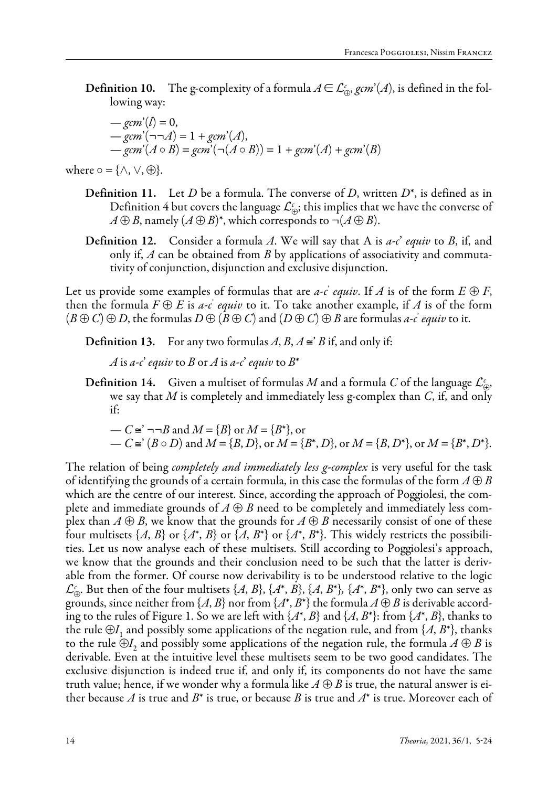**Definition 10.** The g-complexity of a formula  $A \in \mathcal{L}_{\oplus}^c$ , *gcm*'(*A*), is defined in the following way:

$$
-gcm'(l) = 0,
$$
  
\n
$$
-gcm'(\neg\neg A) = 1 + gcm'(A),
$$
  
\n
$$
-gcm'(A \circ B) = gcm'(\neg (A \circ B)) = 1 + gcm'(A) + gcm'(B)
$$

where  $\circ$  = { $\land$ ,  $\lor$ ,  $\oplus$  }.

- Definition 11. Let *D* be a formula. The converse of *D*, written *D*\*, is defined as in Definition 4 but covers the language  $\mathcal{L}_{\oplus}^c$ ; this implies that we have the converse of  $A \oplus B$ , namely  $(A \oplus B)^*$ , which corresponds to ¬ $(A \oplus B)$ .
- Definition 12. Consider a formula *A*. We will say that A is *a-c*' *equiv* to *B*, if, and only if, *A* can be obtained from *B* by applications of associativity and commutativity of conjunction, disjunction and exclusive disjunction.

Let us provide some examples of formulas that are *a-c` equiv*. If  $A$  is of the form  $E \oplus F$ , then the formula  $F \oplus E$  is *a-c` equiv* to it. To take another example, if  $A$  is of the form  $(B \oplus C) \oplus D$ , the formulas  $D \oplus (B \oplus C)$  and  $(D \oplus C) \oplus B$  are formulas *a-c` equiv* to it.

**Definition 13.** For any two formulas  $A, B, A \cong B$  if, and only if:

*A* is *a-c*' *equiv* to *B* or *A* is *a-c*' *equiv* to  $B^*$ 

**Definition 14.** Given a multiset of formulas *M* and a formula *C* of the language  $\mathcal{L}_{\oplus}^c$ , we say that *M* is completely and immediately less g-complex than *C*, if, and only if:

$$
- C \cong \neg \neg B \text{ and } M = \{B\} \text{ or } M = \{B^*\}, \text{ or} - C \cong (B \circ D) \text{ and } M = \{B, D\}, \text{ or } M = \{B^*, D\}, \text{ or } M = \{B, D^*\}, \text{ or } M = \{B^*, D^*\}.
$$

The relation of being *completely and immediately less g-complex* is very useful for the task of identifying the grounds of a certain formula, in this case the formulas of the form  $A \oplus B$ which are the centre of our interest. Since, according the approach of Poggiolesi, the complete and immediate grounds of  $A \oplus B$  need to be completely and immediately less complex than  $A \oplus B$ , we know that the grounds for  $A \oplus B$  necessarily consist of one of these four multisets  $\{A, B\}$  or  $\{A^*, B\}$  or  $\{A, B^*\}$  or  $\{A^*, B^*\}$ . This widely restricts the possibilities. Let us now analyse each of these multisets. Still according to Poggiolesi's approach, we know that the grounds and their conclusion need to be such that the latter is derivable from the former. Of course now derivability is to be understood relative to the logic  $\mathcal{L}_{\oplus}^c$ . But then of the four multisets  $\{A, B\}$ ,  $\{A^*, B\}$ ,  $\{A, B^*\}$ ,  $\{A^*, B^*\}$ , only two can serve as grounds, since neither from  $\{A, B\}$  nor from  $\{A^*, B^*\}$  the formula  $A \oplus B$  is derivable according to the rules of Figure 1. So we are left with  $\{A^*, B\}$  and  $\{A, B^*\}$ : from  $\{A^*, B\}$ , thanks to the rule  $\oplus I_1$  and possibly some applications of the negation rule, and from {*A*, *B*<sup>\*</sup>}, thanks to the rule  $\oplus I_2$  and possibly some applications of the negation rule, the formula  $A \oplus B$  is derivable. Even at the intuitive level these multisets seem to be two good candidates. The exclusive disjunction is indeed true if, and only if, its components do not have the same truth value; hence, if we wonder why a formula like  $A \oplus B$  is true, the natural answer is either because *A* is true and *B*\* is true, or because *B* is true and *A*\* is true. Moreover each of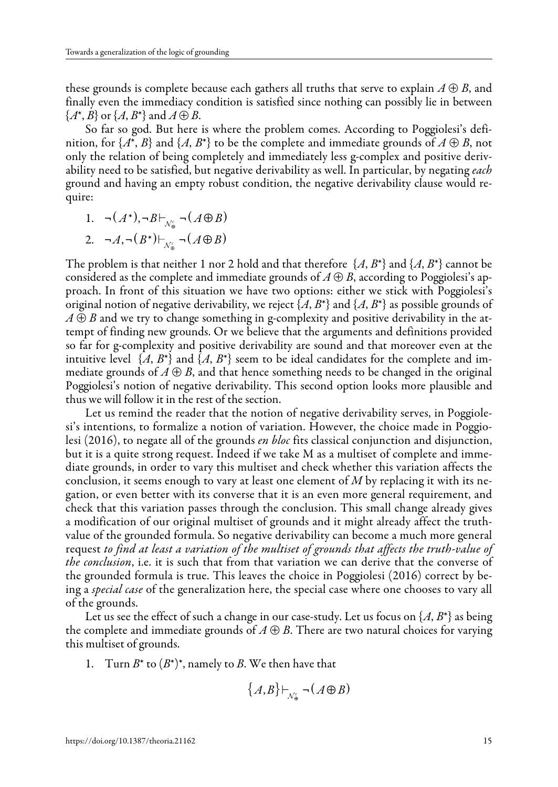these grounds is complete because each gathers all truths that serve to explain  $A \oplus B$ , and finally even the immediacy condition is satisfied since nothing can possibly lie in between  ${A^*}, B$  or  ${A, B^*}$  and  $A \oplus B$ .

So far so god. But here is where the problem comes. According to Poggiolesi's definition, for  $\{A^*, B\}$  and  $\{A, B^*\}$  to be the complete and immediate grounds of  $A \oplus B$ , not only the relation of being completely and immediately less g-complex and positive derivability need to be satisfied, but negative derivability as well. In particular, by negating *each*  ground and having an empty robust condition, the negative derivability clause would require:

1.  $\neg(A^*)$ ,  $\neg B \vdash_{\mathcal{N}^c} \neg(A \oplus B)$ 

2. 
$$
\neg A, \neg (B^*) \vdash_{\mathcal{N}_{\oplus}^c} \neg (A \oplus B)
$$

The problem is that neither 1 nor 2 hold and that therefore  $\{A, B^*\}$  and  $\{A, B^*\}$  cannot be considered as the complete and immediate grounds of  $A \oplus B$ , according to Poggiolesi's approach. In front of this situation we have two options: either we stick with Poggiolesi's original notion of negative derivability, we reject  $\{A, B^*\}$  and  $\{A, B^*\}$  as possible grounds of  $A \oplus B$  and we try to change something in g-complexity and positive derivability in the attempt of finding new grounds. Or we believe that the arguments and definitions provided so far for g-complexity and positive derivability are sound and that moreover even at the intuitive level  $\{A, B^*\}$  and  $\{A, B^*\}$  seem to be ideal candidates for the complete and immediate grounds of  $A \oplus B$ , and that hence something needs to be changed in the original Poggiolesi's notion of negative derivability. This second option looks more plausible and thus we will follow it in the rest of the section.

Let us remind the reader that the notion of negative derivability serves, in Poggiolesi's intentions, to formalize a notion of variation. However, the choice made in Poggiolesi (2016), to negate all of the grounds *en bloc* fits classical conjunction and disjunction, but it is a quite strong request. Indeed if we take M as a multiset of complete and immediate grounds, in order to vary this multiset and check whether this variation affects the conclusion, it seems enough to vary at least one element of *M* by replacing it with its negation, or even better with its converse that it is an even more general requirement, and check that this variation passes through the conclusion. This small change already gives a modification of our original multiset of grounds and it might already affect the truthvalue of the grounded formula. So negative derivability can become a much more general request *to find at least a variation of the multiset of grounds that affects the truth-value of the conclusion*, i.e. it is such that from that variation we can derive that the converse of the grounded formula is true. This leaves the choice in Poggiolesi (2016) correct by being a *special case* of the generalization here, the special case where one chooses to vary all of the grounds.

Let us see the effect of such a change in our case-study. Let us focus on  $\{A, B^*\}$  as being the complete and immediate grounds of  $A \oplus B$ . There are two natural choices for varying this multiset of grounds.

1. Turn  $B^*$  to  $(B^*)^*$ , namely to *B*. We then have that

$$
\{A,B\}\vdash_{\mathcal{N}_{\oplus}^c} \neg(A\oplus B)
$$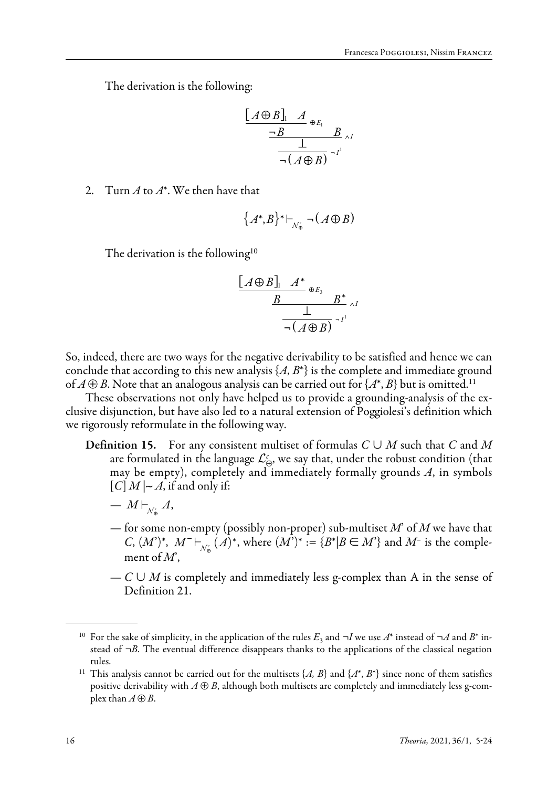The derivation is the following:

$$
\frac{[A \oplus B]_1 A}{\underline{\neg B} \qquad \oplus E_1} B \wedge I}
$$
  

$$
\frac{\bot}{\neg (A \oplus B)} \neg I^1
$$

2. Turn *A* to *A*\*. We then have that

$$
\{A^*,B\}^* \vdash_{\mathcal{N}_\oplus^c} \neg(A \oplus B)
$$

The derivation is the following<sup>10</sup>

$$
\frac{[A \oplus B]_1 A^*}{B} \xrightarrow{\oplus E_3} B^* \wedge I
$$
  

$$
\frac{\perp}{\neg(A \oplus B)} \neg I^1
$$

So, indeed, there are two ways for the negative derivability to be satisfied and hence we can conclude that according to this new analysis  $\{A, B^*\}$  is the complete and immediate ground of  $A \oplus B$ . Note that an analogous analysis can be carried out for  $\{A^*, B\}$  but is omitted.<sup>11</sup>

These observations not only have helped us to provide a grounding-analysis of the exclusive disjunction, but have also led to a natural extension of Poggiolesi's definition which we rigorously reformulate in the following way.

- Definition 15. For any consistent multiset of formulas *C* ∪ *M* such that *C* and *M* are formulated in the language  $\mathcal{L}_{\oplus}^c$ , we say that, under the robust condition (that may be empty), completely and immediately formally grounds *A*, in symbols  $[C] M | ∼ A$ , if and only if:
	- $M \vdash_{\mathcal{N}_{\alpha}^{\epsilon}} A$ ,
	- for some non-empty (possibly non-proper) sub-multiset *M*' of *M* we have that *C*,  $(M^{\prime})^*$ ,  $M^{-} \vdash_{N_{\alpha}^{c}} (A)^{*}$ , where  $(M^{\prime})^* := \{B^* | B \in M^{\prime}\}$  and  $M^{-}$  is the complement of *M*',
	- $C \cup M$  is completely and immediately less g-complex than A in the sense of Definition 21.

<sup>&</sup>lt;sup>10</sup> For the sake of simplicity, in the application of the rules  $E_3$  and  $\neg I$  we use  $A^*$  instead of  $\neg A$  and  $B^*$  instead of *¬B*. The eventual difference disappears thanks to the applications of the classical negation rules.

<sup>&</sup>lt;sup>11</sup> This analysis cannot be carried out for the multisets  $\{A, B\}$  and  $\{A^*, B^*\}$  since none of them satisfies positive derivability with  $A \oplus B$ , although both multisets are completely and immediately less g-complex than  $A \oplus B$ .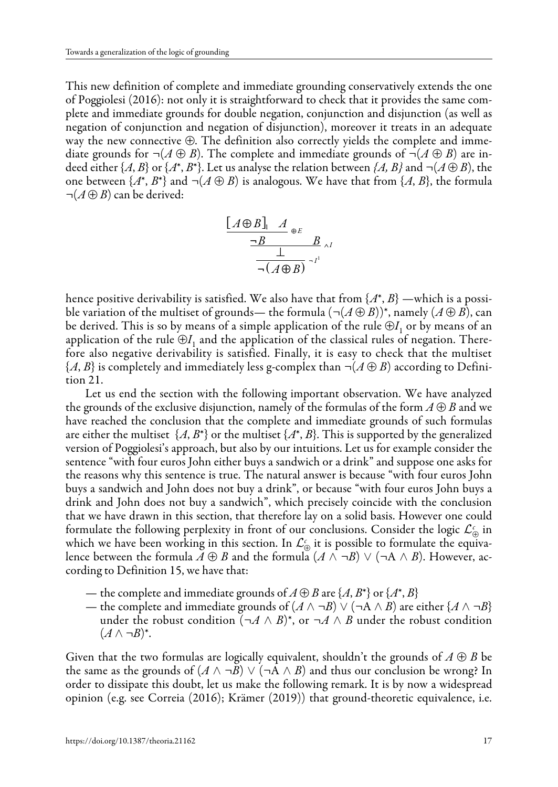This new definition of complete and immediate grounding conservatively extends the one of Poggiolesi (2016): not only it is straightforward to check that it provides the same complete and immediate grounds for double negation, conjunction and disjunction (as well as negation of conjunction and negation of disjunction), moreover it treats in an adequate way the new connective ⊕. The definition also correctly yields the complete and immediate grounds for  $\neg(A \oplus B)$ . The complete and immediate grounds of  $\neg(A \oplus B)$  are indeed either  $\{A, B\}$  or  $\{A^*, B^*\}$ . Let us analyse the relation between  $\{A, B\}$  and  $\neg(A \oplus B)$ , the one between  $\{A^*, B^*\}$  and  $\neg(A \oplus B)$  is analogous. We have that from  $\{A, B\}$ , the formula *¬*(*A* ⊕ *B*) can be derived:

$$
\frac{[A \oplus B]_1 A_{\oplus E}}{\neg B \qquad \qquad B \qquad \qquad B \qquad \qquad A}
$$

$$
\frac{1}{\neg (A \oplus B)} \neg I^1
$$

hence positive derivability is satisfied. We also have that from  $\{A^*, B\}$  —which is a possible variation of the multiset of grounds— the formula  $(\neg(A \oplus B))^*$ , namely  $(A \oplus B)$ , can be derived. This is so by means of a simple application of the rule  $\bigoplus I$ , or by means of an application of the rule  $\bigoplus I_1$  and the application of the classical rules of negation. Therefore also negative derivability is satisfied. Finally, it is easy to check that the multiset  $\{A, B\}$  is completely and immediately less g-complex than  $\neg(A \oplus B)$  according to Definition 21.

Let us end the section with the following important observation. We have analyzed the grounds of the exclusive disjunction, namely of the formulas of the form  $A \oplus B$  and we have reached the conclusion that the complete and immediate grounds of such formulas are either the multiset  $\{A, B^*\}$  or the multiset  $\{A^*, B\}$ . This is supported by the generalized version of Poggiolesi's approach, but also by our intuitions. Let us for example consider the sentence "with four euros John either buys a sandwich or a drink" and suppose one asks for the reasons why this sentence is true. The natural answer is because "with four euros John buys a sandwich and John does not buy a drink", or because "with four euros John buys a drink and John does not buy a sandwich", which precisely coincide with the conclusion that we have drawn in this section, that therefore lay on a solid basis. However one could formulate the following perplexity in front of our conclusions. Consider the logic  $\mathcal{L}_{\oplus}^c$  in which we have been working in this section. In  $\mathcal{L}_{\oplus}^c$  it is possible to formulate the equivalence between the formula  $A \oplus B$  and the formula  $(A \land \neg B) \lor (\neg A \land B)$ . However, according to Definition 15, we have that:

- the complete and immediate grounds of  $A \oplus B$  are  $\{A, B^*\}$  or  $\{A^*, B\}$
- the complete and immediate grounds of  $(A \land \neg B) \lor (\neg A \land B)$  are either  $\{A \land \neg B\}$ under the robust condition  $(\neg A \land B)^*$ , or  $\neg A \land B$  under the robust condition  $(A \wedge \neg B)^*$ .

Given that the two formulas are logically equivalent, shouldn't the grounds of  $A \oplus B$  be the same as the grounds of  $(A \land \neg \overline{B}) \lor (\neg \overline{A} \land \overline{B})$  and thus our conclusion be wrong? In order to dissipate this doubt, let us make the following remark. It is by now a widespread opinion (e.g. see Correia (2016); Krämer (2019)) that ground-theoretic equivalence, i.e.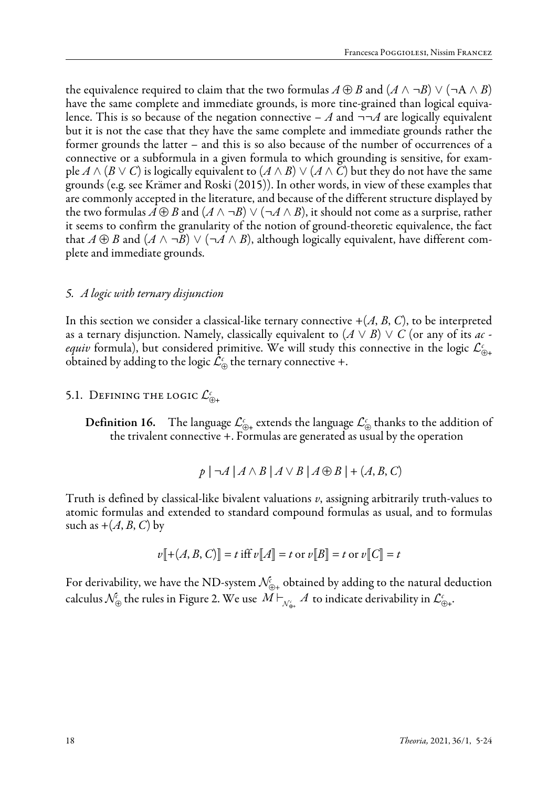the equivalence required to claim that the two formulas  $A \oplus B$  and  $(A \wedge \neg B) \vee (\neg A \wedge B)$ have the same complete and immediate grounds, is more tine-grained than logical equivalence. This is so because of the negation connective  $-A$  and  $\neg\neg A$  are logically equivalent but it is not the case that they have the same complete and immediate grounds rather the former grounds the latter – and this is so also because of the number of occurrences of a connective or a subformula in a given formula to which grounding is sensitive, for example  $A \wedge (B \vee C)$  is logically equivalent to  $(A \wedge B) \vee (A \wedge C)$  but they do not have the same grounds (e.g. see Krämer and Roski (2015)). In other words, in view of these examples that are commonly accepted in the literature, and because of the different structure displayed by the two formulas  $A \oplus B$  and  $(A \wedge \neg B) \vee (\neg A \wedge B)$ , it should not come as a surprise, rather it seems to confirm the granularity of the notion of ground-theoretic equivalence, the fact that  $A \oplus B$  and  $(A \wedge \neg B) \vee (\neg A \wedge B)$ , although logically equivalent, have different complete and immediate grounds.

#### *5. A logic with ternary disjunction*

In this section we consider a classical-like ternary connective  $+(A, B, C)$ , to be interpreted as a ternary disjunction. Namely, classically equivalent to  $(A \vee B) \vee C$  (or any of its *ac equiv* formula), but considered primitive. We will study this connective in the logic  $\mathcal{L}_{\oplus+}^c$ obtained by adding to the logic  $\mathcal{L}_{\oplus}^c$  the ternary connective +.

# 5.1. Defining the logic  $\mathcal{L}^{\scriptscriptstyle\mathcal{C}}_{\oplus +}$

**Definition 16.** The language  $\mathcal{L}_{\oplus+}^c$  extends the language  $\mathcal{L}_{\oplus}^c$  thanks to the addition of the trivalent connective +. Formulas are generated as usual by the operation

$$
p \mid \neg A \mid A \land B \mid A \lor B \mid A \oplus B \mid + (A, B, C)
$$

Truth is defined by classical-like bivalent valuations *v*, assigning arbitrarily truth-values to atomic formulas and extended to standard compound formulas as usual, and to formulas such as  $+(A, B, C)$  by

$$
v[[+(A, B, C)]] = t
$$
 iff  $v[[A]] = t$  or  $v[[B]] = t$  or  $v[[C]] = t$ 

For derivability, we have the ND-system  $\mathcal{N}_{\oplus_+}^{\!\scriptscriptstyle\ell}$  obtained by adding to the natural deduction calculus  $\mathcal{N}_\oplus^\varepsilon$  the rules in Figure 2. We use  $M\vdash_{\mathcal{N}_\oplus^\varepsilon_\ast} A$  to indicate derivability in  $\mathcal{L}_\oplus^\varepsilon_\ast.$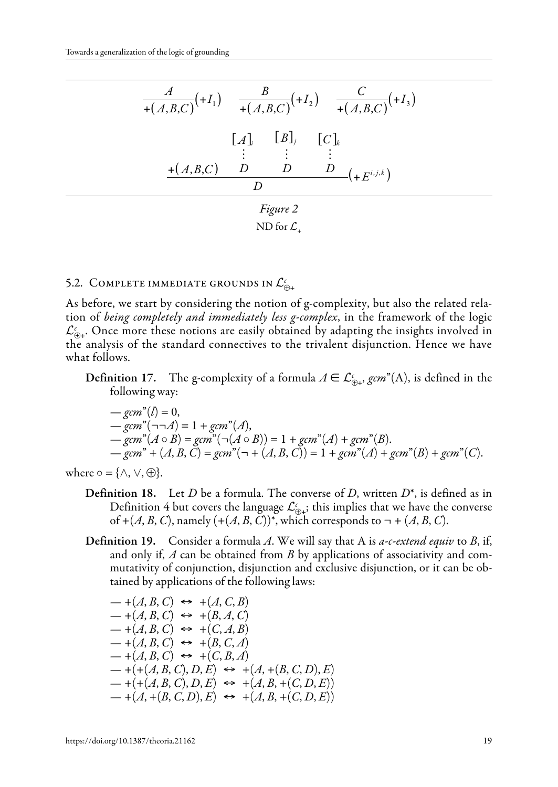*A* +(*A*,*B*,*C*) <sup>+</sup>*<sup>I</sup>* ( <sup>1</sup> ) *<sup>B</sup>* +(*A*,*B*,*C*) <sup>+</sup>*<sup>I</sup>* ( <sup>2</sup> ) *<sup>C</sup>* +(*A*,*B*,*C*) <sup>+</sup>*<sup>I</sup>* ( <sup>3</sup> ) +(*A*,*B*,*C*) [*A*]*<sup>i</sup> D* [*B*]*<sup>j</sup> D* [*C*]*<sup>k</sup> D D* +*E<sup>i</sup>*, *<sup>j</sup>* , *<sup>k</sup>* ( ) *Figure 2* ND for <sup>+</sup>

# 5.2. Complete immediate grounds in  $\mathcal{L}_{\oplus +}^\epsilon$

As before, we start by considering the notion of g-complexity, but also the related relation of *being completely and immediately less g-complex*, in the framework of the logic  $\mathcal{L}_{\oplus +}^c$ . Once more these notions are easily obtained by adapting the insights involved in the analysis of the standard connectives to the trivalent disjunction. Hence we have what follows.

**Definition 17.** The g-complexity of a formula  $A \in \mathcal{L}_{\oplus+}^c$ , *gcm*<sup>"</sup>(A), is defined in the following way:

$$
-gcm^{n}(l) = 0,
$$
  
\n
$$
-gcm^{n}(\neg \neg A) = 1 + gcm^{n}(A),
$$
  
\n
$$
-gcm^{n}(A \circ B) = gcm^{n}(\neg (A \circ B)) = 1 + gcm^{n}(A) + gcm^{n}(B).
$$
  
\n
$$
-gcm^{n} + (A, B, C) = gcm^{n}(\neg + (A, B, C)) = 1 + gcm^{n}(A) + gcm^{n}(B) + gcm^{n}(C).
$$

where  $\circ$  = { $\land$ ,  $\lor$ ,  $\oplus$  }.

- Definition 18. Let *D* be a formula. The converse of *D*, written *D*\*, is defined as in Definition 4 but covers the language  $\mathcal{L}_{\oplus \frac{1}{2}}^c$ ; this implies that we have the converse of  $+(A, B, C)$ , namely  $(+ (A, B, C))^*$ , which corresponds to  $\neg + (A, B, C)$ .
- Definition 19. Consider a formula *A*. We will say that A is *a-c-extend equiv* to *B*, if, and only if, *A* can be obtained from *B* by applications of associativity and commutativity of conjunction, disjunction and exclusive disjunction, or it can be obtained by applications of the following laws:

$$
-+(A, B, C) \leftrightarrow +(A, C, B)
$$
  
\n
$$
-+(A, B, C) \leftrightarrow +(B, A, C)
$$
  
\n
$$
-+(A, B, C) \leftrightarrow +(C, A, B)
$$
  
\n
$$
-+(A, B, C) \leftrightarrow +(B, C, A)
$$
  
\n
$$
-+(A, B, C) \leftrightarrow +(C, B, A)
$$
  
\n
$$
-+(+(A, B, C), D, E) \leftrightarrow +(A, +(B, C, D), E)
$$
  
\n
$$
-+(A, A, B, C), D, E) \leftrightarrow +(A, B, +(C, D, E))
$$
  
\n
$$
-+(A, +(B, C, D), E) \leftrightarrow +(A, B, +(C, D, E))
$$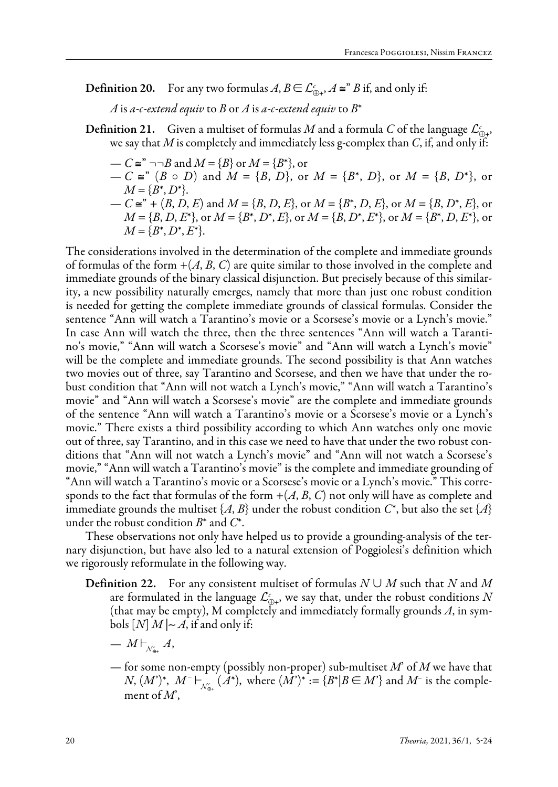**Definition 20.** For any two formulas  $A, B \in \mathcal{L}_{\bigoplus^{c},A}^c$  and only if:

*A* is *a-c-extend equiv* to *B* or *A* is *a-c-extend equiv* to  $B^*$ 

- **Definition 21.** Given a multiset of formulas *M* and a formula *C* of the language  $\mathcal{L}_{\oplus}^c$ , we say that *M* is completely and immediately less g-complex than *C*, if, and only if:
	- $-C \cong$ <sup>"</sup> ¬¬*B* and  $M = {B}$  or  $M = {B^*}$ , or  $-C \cong$  *C*  $(B \circ D)$  and  $M = {B, D}$ , or  $M = {B^*, D}$ , or  $M = {B, D^*}$ , or  $M = \{B^*, D^*\}.$  $-C$  ≅<sup>"</sup> + (*B*, *D*, *E*) and *M* = {*B*, *D*, *E*}, or *M* = {*B*<sup>\*</sup>, *D*, *E*}, or *M* = {*B*, *D*<sup>\*</sup>, *E*}, or  $M = \{B, D, E^*\},$  or  $M = \{B^*, D^*, E\}$ , or  $M = \{B, D^*, E^*\},$  or  $M = \{B^*, D, E^*\},$  or  $M = \{B^*, D^*, E^*\}.$

The considerations involved in the determination of the complete and immediate grounds of formulas of the form  $+(A, B, C)$  are quite similar to those involved in the complete and immediate grounds of the binary classical disjunction. But precisely because of this similarity, a new possibility naturally emerges, namely that more than just one robust condition is needed for getting the complete immediate grounds of classical formulas. Consider the sentence "Ann will watch a Tarantino's movie or a Scorsese's movie or a Lynch's movie." In case Ann will watch the three, then the three sentences "Ann will watch a Tarantino's movie," "Ann will watch a Scorsese's movie" and "Ann will watch a Lynch's movie" will be the complete and immediate grounds. The second possibility is that Ann watches two movies out of three, say Tarantino and Scorsese, and then we have that under the robust condition that "Ann will not watch a Lynch's movie," "Ann will watch a Tarantino's movie" and "Ann will watch a Scorsese's movie" are the complete and immediate grounds of the sentence "Ann will watch a Tarantino's movie or a Scorsese's movie or a Lynch's movie." There exists a third possibility according to which Ann watches only one movie out of three, say Tarantino, and in this case we need to have that under the two robust conditions that "Ann will not watch a Lynch's movie" and "Ann will not watch a Scorsese's movie," "Ann will watch a Tarantino's movie" is the complete and immediate grounding of "Ann will watch a Tarantino's movie or a Scorsese's movie or a Lynch's movie." This corresponds to the fact that formulas of the form  $+(A, B, C)$  not only will have as complete and immediate grounds the multiset  $\{A, B\}$  under the robust condition  $C^*$ , but also the set  $\{A\}$ under the robust condition *B*\* and *C*\*.

These observations not only have helped us to provide a grounding-analysis of the ternary disjunction, but have also led to a natural extension of Poggiolesi's definition which we rigorously reformulate in the following way.

- Definition 22. For any consistent multiset of formulas *N* ∪ *M* such that *N* and *M* are formulated in the language  $\mathcal{L}^c_{\oplus +}$ , we say that, under the robust conditions  $N$ (that may be empty), M completely and immediately formally grounds *A*, in symbols  $[N] M | ∼ A$ , if and only if:
	- $=M\mathord{\vdash}_{\scriptscriptstyle \mathcal N^\iota_{\oplus \mathfrak{+}}} A,$
	- for some non-empty (possibly non-proper) sub-multiset *M*' of *M* we have that  $N, (M^{\prime})^{\ast}, M^{\prime} \vdash_{\mathcal{N}_{\Theta*}^{\epsilon}} (A^{\ast}), \text{ where } (M^{\prime})^{\ast} := \{B^{\ast}|B \in M^{\prime}\}\text{ and }M^{\prime}\text{ is the comple$ ment of *M*',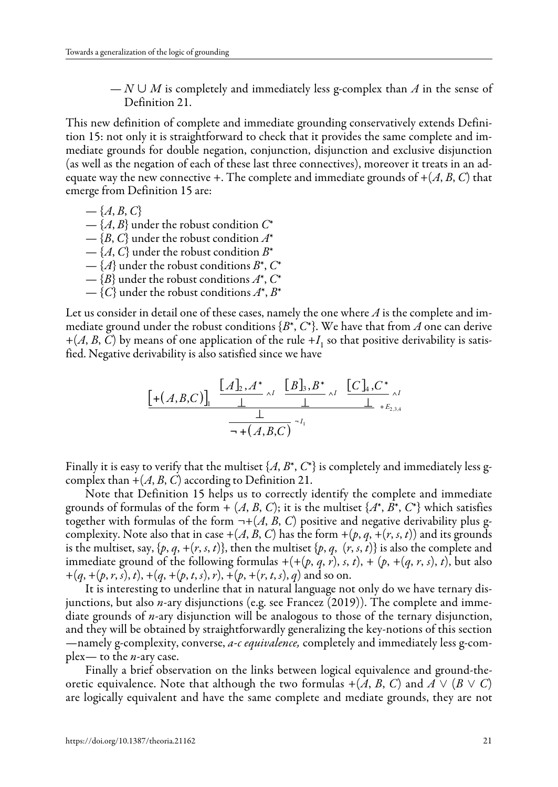— *N* ∪ *M* is completely and immediately less g-complex than *A* in the sense of Definition 21.

This new definition of complete and immediate grounding conservatively extends Definition 15: not only it is straightforward to check that it provides the same complete and immediate grounds for double negation, conjunction, disjunction and exclusive disjunction (as well as the negation of each of these last three connectives), moreover it treats in an adequate way the new connective +. The complete and immediate grounds of  $+(A, B, C)$  that emerge from Definition 15 are:

- $-$ {*A*, *B*, *C*}
- {*A*, *B*} under the robust condition *C*\*
- {*B*, *C*} under the robust condition *A*\*
- $-\{A, C\}$  under the robust condition  $B^*$
- {*A*} under the robust conditions *B*\*, *C*\*
- {*B*} under the robust conditions *A*\*, *C*\*
- $-\{C\}$  under the robust conditions  $A^*, B^*$

Let us consider in detail one of these cases, namely the one where *A* is the complete and immediate ground under the robust conditions {*B*\*, *C*\*}. We have that from *A* one can derive  $+(A, B, C)$  by means of one application of the rule  $+I<sub>1</sub>$  so that positive derivability is satisfied. Negative derivability is also satisfied since we have

$$
\frac{\left[ \mathcal{A}, B, C \right]_{\mathsf{I}} \xrightarrow{\left[ A \underline{b}, A^* \right]_{\Lambda I}} \frac{\left[ B \underline{b}, B^* \right]_{\Lambda I}}{\perp} \xrightarrow{\left[ C \underline{b}, C^* \right]_{\Lambda I}} \frac{\left[ C \underline{b}, C^* \right]_{\Lambda I}}{\perp} \xrightarrow{\left[ \mathcal{A}, B, C \right]_{\Lambda I}} \frac{\perp}{\rightarrow \mathcal{A}}}{\longrightarrow \mathcal{A}
$$

Finally it is easy to verify that the multiset  $\{A, B^*, C^*\}$  is completely and immediately less gcomplex than  $+(A, B, C)$  according to Definition 21.

Note that Definition 15 helps us to correctly identify the complete and immediate grounds of formulas of the form  $+(A, B, C)$ ; it is the multiset  $\{A^*, B^*, C^*\}$  which satisfies together with formulas of the form  $\neg + (A, B, C)$  positive and negative derivability plus gcomplexity. Note also that in case  $+(A, B, C)$  has the form  $+(p, q, +(r, s, t))$  and its grounds is the multiset, say,  $\{p, q, +\{r, s, t\}\}$ , then the multiset  $\{p, q, (r, s, t)\}$  is also the complete and immediate ground of the following formulas  $+(+(p, q, r), s, t)$ ,  $+(p, +(q, r, s), t)$ , but also  $+(q, +(p, r, s), t), +(q, +(p, t, s), r), +(p, +(r, t, s), q)$  and so on.

It is interesting to underline that in natural language not only do we have ternary disjunctions, but also *n*-ary disjunctions (e.g. see Francez (2019)). The complete and immediate grounds of *n*-ary disjunction will be analogous to those of the ternary disjunction, and they will be obtained by straightforwardly generalizing the key-notions of this section —namely g-complexity, converse, *a-c equivalence,* completely and immediately less g-complex— to the *n*-ary case.

Finally a brief observation on the links between logical equivalence and ground-theoretic equivalence. Note that although the two formulas  $+(A, B, C)$  and  $A \vee (B \vee C)$ are logically equivalent and have the same complete and mediate grounds, they are not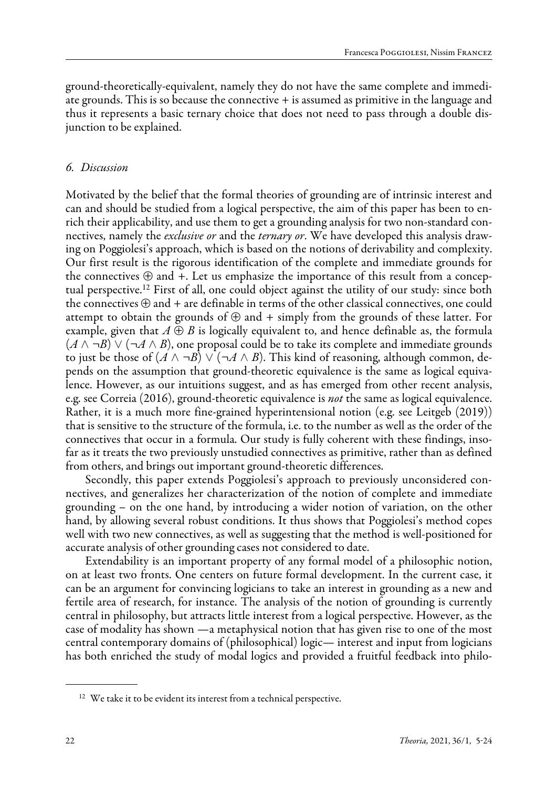ground-theoretically-equivalent, namely they do not have the same complete and immediate grounds. This is so because the connective + is assumed as primitive in the language and thus it represents a basic ternary choice that does not need to pass through a double disjunction to be explained.

## *6. Discussion*

Motivated by the belief that the formal theories of grounding are of intrinsic interest and can and should be studied from a logical perspective, the aim of this paper has been to enrich their applicability, and use them to get a grounding analysis for two non-standard connectives, namely the *exclusive or* and the *ternary or*. We have developed this analysis drawing on Poggiolesi's approach, which is based on the notions of derivability and complexity. Our first result is the rigorous identification of the complete and immediate grounds for the connectives  $\oplus$  and  $+$ . Let us emphasize the importance of this result from a conceptual perspective.12 First of all, one could object against the utility of our study: since both the connectives  $\oplus$  and  $+$  are definable in terms of the other classical connectives, one could attempt to obtain the grounds of  $\oplus$  and + simply from the grounds of these latter. For example, given that  $A \oplus B$  is logically equivalent to, and hence definable as, the formula (*A* ∧ *¬B*) ∨ (*¬A* ∧ *B*), one proposal could be to take its complete and immediate grounds to just be those of  $(A \land \neg B) \lor (\neg A \land B)$ . This kind of reasoning, although common, depends on the assumption that ground-theoretic equivalence is the same as logical equivalence. However, as our intuitions suggest, and as has emerged from other recent analysis, e.g. see Correia (2016), ground-theoretic equivalence is *not* the same as logical equivalence. Rather, it is a much more fine-grained hyperintensional notion (e.g. see Leitgeb (2019)) that is sensitive to the structure of the formula, i.e. to the number as well as the order of the connectives that occur in a formula. Our study is fully coherent with these findings, insofar as it treats the two previously unstudied connectives as primitive, rather than as defined from others, and brings out important ground-theoretic differences.

Secondly, this paper extends Poggiolesi's approach to previously unconsidered connectives, and generalizes her characterization of the notion of complete and immediate grounding – on the one hand, by introducing a wider notion of variation, on the other hand, by allowing several robust conditions. It thus shows that Poggiolesi's method copes well with two new connectives, as well as suggesting that the method is well-positioned for accurate analysis of other grounding cases not considered to date.

Extendability is an important property of any formal model of a philosophic notion, on at least two fronts. One centers on future formal development. In the current case, it can be an argument for convincing logicians to take an interest in grounding as a new and fertile area of research, for instance. The analysis of the notion of grounding is currently central in philosophy, but attracts little interest from a logical perspective. However, as the case of modality has shown —a metaphysical notion that has given rise to one of the most central contemporary domains of (philosophical) logic— interest and input from logicians has both enriched the study of modal logics and provided a fruitful feedback into philo-

<sup>&</sup>lt;sup>12</sup> We take it to be evident its interest from a technical perspective.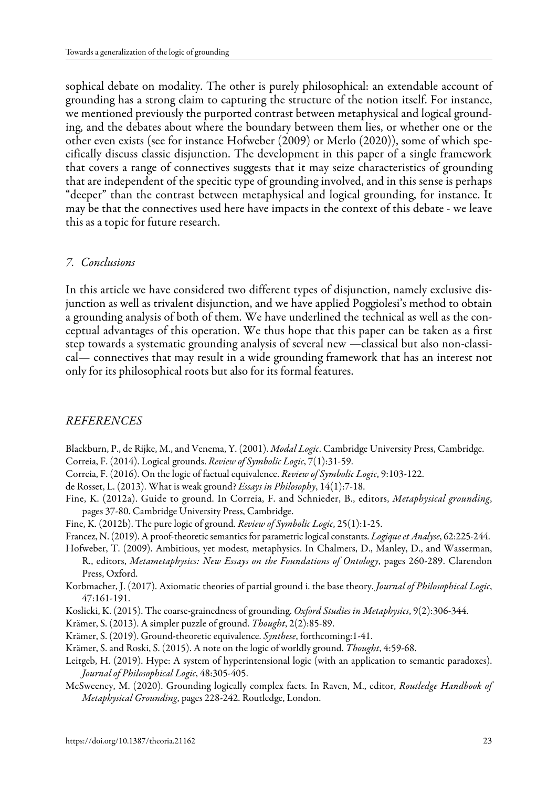sophical debate on modality. The other is purely philosophical: an extendable account of grounding has a strong claim to capturing the structure of the notion itself. For instance, we mentioned previously the purported contrast between metaphysical and logical grounding, and the debates about where the boundary between them lies, or whether one or the other even exists (see for instance Hofweber (2009) or Merlo (2020)), some of which specifically discuss classic disjunction. The development in this paper of a single framework that covers a range of connectives suggests that it may seize characteristics of grounding that are independent of the specitic type of grounding involved, and in this sense is perhaps "deeper" than the contrast between metaphysical and logical grounding, for instance. It may be that the connectives used here have impacts in the context of this debate - we leave this as a topic for future research.

#### *7. Conclusions*

In this article we have considered two different types of disjunction, namely exclusive disjunction as well as trivalent disjunction, and we have applied Poggiolesi's method to obtain a grounding analysis of both of them. We have underlined the technical as well as the conceptual advantages of this operation. We thus hope that this paper can be taken as a first step towards a systematic grounding analysis of several new —classical but also non-classical— connectives that may result in a wide grounding framework that has an interest not only for its philosophical roots but also for its formal features.

## *REFERENCES*

- Blackburn, P., de Rijke, M., and Venema, Y. (2001). *Modal Logic*. Cambridge University Press, Cambridge.
- Correia, F. (2014). Logical grounds. *Review of Symbolic Logic*, 7(1):31-59.
- Correia, F. (2016). On the logic of factual equivalence. *Review of Symbolic Logic*, 9:103-122.
- de Rosset, L. (2013). What is weak ground? *Essays in Philosophy*, 14(1):7-18.
- Fine, K. (2012a). Guide to ground. In Correia, F. and Schnieder, B., editors, *Metaphysical grounding*, pages 37-80. Cambridge University Press, Cambridge.
- Fine, K. (2012b). The pure logic of ground. *Review of Symbolic Logic*, 25(1):1-25.
- Francez, N. (2019). A proof-theoretic semantics for parametric logical constants. *Logique et Analyse*, 62:225-244.
- Hofweber, T. (2009). Ambitious, yet modest, metaphysics. In Chalmers, D., Manley, D., and Wasserman, R., editors, *Metametaphysics: New Essays on the Foundations of Ontology*, pages 260-289. Clarendon Press, Oxford.
- Korbmacher, J. (2017). Axiomatic theories of partial ground i. the base theory. *Journal of Philosophical Logic*, 47:161-191.
- Koslicki, K. (2015). The coarse-grainedness of grounding. *Oxford Studies in Metaphysics*, 9(2):306-344.
- Krämer, S. (2013). A simpler puzzle of ground. *Thought*, 2(2):85-89.
- Krämer, S. (2019). Ground-theoretic equivalence. *Synthese*, forthcoming:1-41.
- Krämer, S. and Roski, S. (2015). A note on the logic of worldly ground. *Thought*, 4:59-68.
- Leitgeb, H. (2019). Hype: A system of hyperintensional logic (with an application to semantic paradoxes). *Journal of Philosophical Logic*, 48:305-405.
- McSweeney, M. (2020). Grounding logically complex facts. In Raven, M., editor, *Routledge Handbook of Metaphysical Grounding*, pages 228-242. Routledge, London.